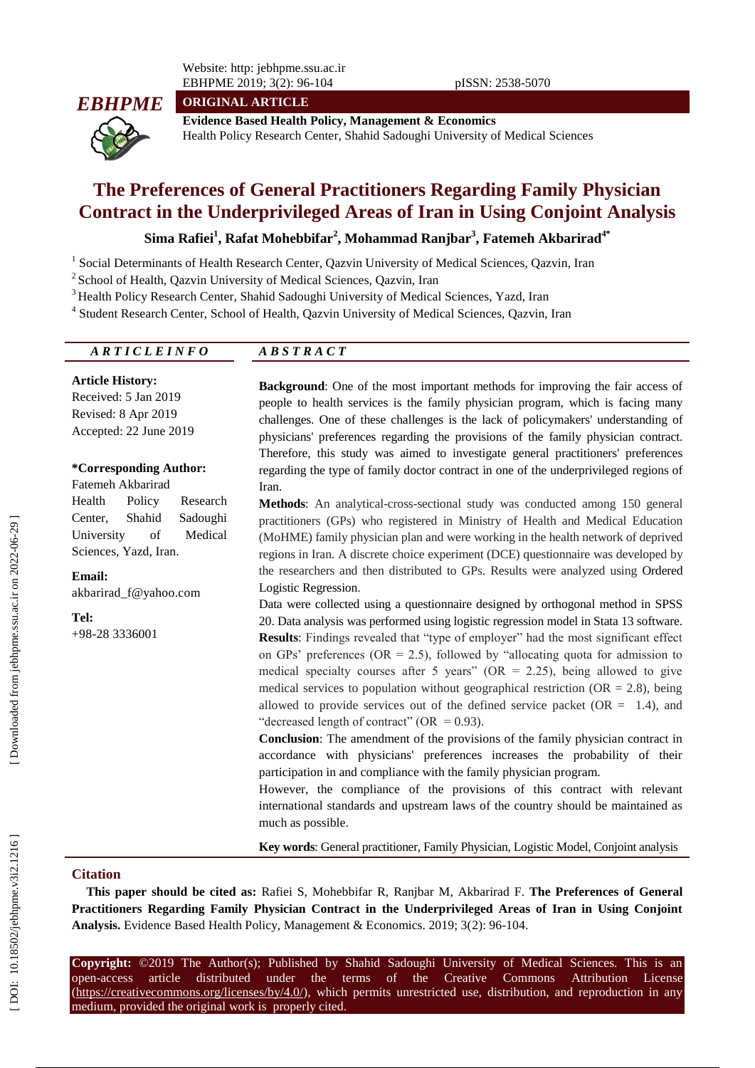Website: http: jebhpme.ssu.ac.ir EBHPME 201 9; 3(2): 96

**ORIGINAL ARTICLE**



**Evidence Based Health Policy, Management & Economics** Health Policy Research Center, Shahid Sadoughi University of Medical Sciences

# **The Preferences of General Practitioners Regarding Family Physician Contract in the Underprivileged Areas of Iran in Using Conjoint Analysis**

**Sima Rafiei 1 , Rafat Mohebbifar 2 , Mohammad Ranjbar 3 , Fatemeh Akbarirad4\***

<sup>1</sup> Social Determinants of Health Research Center, Qazvin University of Medical Sciences, Qazvin, Iran

<sup>2</sup> School of Health, Qazvin University of Medical Sciences, Qazvin, Iran

<sup>3</sup> Health Policy Research Center, Shahid Sadoughi University of Medical Sciences, Yazd, Iran

<sup>4</sup> Student Research Center, School of Health, Qazvin University of Medical Sciences, Qazvin, Iran

## *A R T I C L E I N F O A B S T R A C T*

**Article History:** Received: 5 Jan 2019 Revised: 8 Apr 2019 Accepted: 22 June 2019

#### **\*Corresponding Author:**

Fatemeh Akbarirad Health Policy Research Center, Shahid Sadoughi University of Medical Sciences, Yazd, Iran .

**Email:** akbarirad\_f@yahoo.com

**Tel:** +98 -28 3336001 **Background**: One of the most important methods for improving the fair access of people to health services is the family physician program, which is facing many challenges. One of these challenges is the lack of policymakers' understanding of physicians' preferences regarding the provisions of the family physician contract. Therefore, this study was aimed to investigate general practitioners' preferences regarding the type of family doctor contract in one of the underprivileged regions of Iran.

Methods: An analytical-cross-sectional study was conducted among 150 general practitioners (GPs) who registered in Ministry of Health and Medical Education (MoHME) family physician plan and were working in the health network of deprived regions in Iran. A discrete choice experiment (DCE) questionnaire was developed by the researchers and then distributed to GPs. Results were analyzed using Ordered Logistic Regression .

Data were collected using a questionnaire designed by orthogonal method in SPSS 20. Data analysis was performed using logistic regression model in Stata 13 software. **Results**: Findings revealed that "type of employer" had the most significant effect on GPs' preferences ( $OR = 2.5$ ), followed by "allocating quota for admission to medical specialty courses after 5 years" ( $OR = 2.25$ ), being allowed to give medical services to population without geographical restriction ( $OR = 2.8$ ), being allowed to provide services out of the defined service packet  $(OR = 1.4)$ , and "decreased length of contract" (OR =  $0.93$ ).

**Conclusion**: The amendment of the provisions of the family physician contract in accordance with physicians' preferences increases the probability of their participation in and compliance with the family physician program.

However, the compliance of the provisions of this contract with relevant international standards and upstream laws of the country should be maintained as much as possible.

**Key words**: General practitioner, Family Physician, Logistic Model, Conjoint analysis

#### **Citation**

**This paper should be cited as:** Rafiei S, Mohebbifar R, Ranjbar M, Akbarirad F. **The Preferences of General Practitioners Regarding Family Physician Contract in the Underprivileged Areas of Iran in Using Conjoint**  Analysis. Evidence Based Health Policy, Management & Economics. 2019; 3(2): 96-104.

**Copyright:** ©201 9 The Author(s); Published by Shahid Sadoughi University of Medical Sciences. This is an open-access -access article distributed under the terms of the Creative Commons Attribution License (https://creativecommons.org/licenses/by/4.0/), which permits unrestricted use, distribution, and reproduction in any medium, provided the original work is properly cited.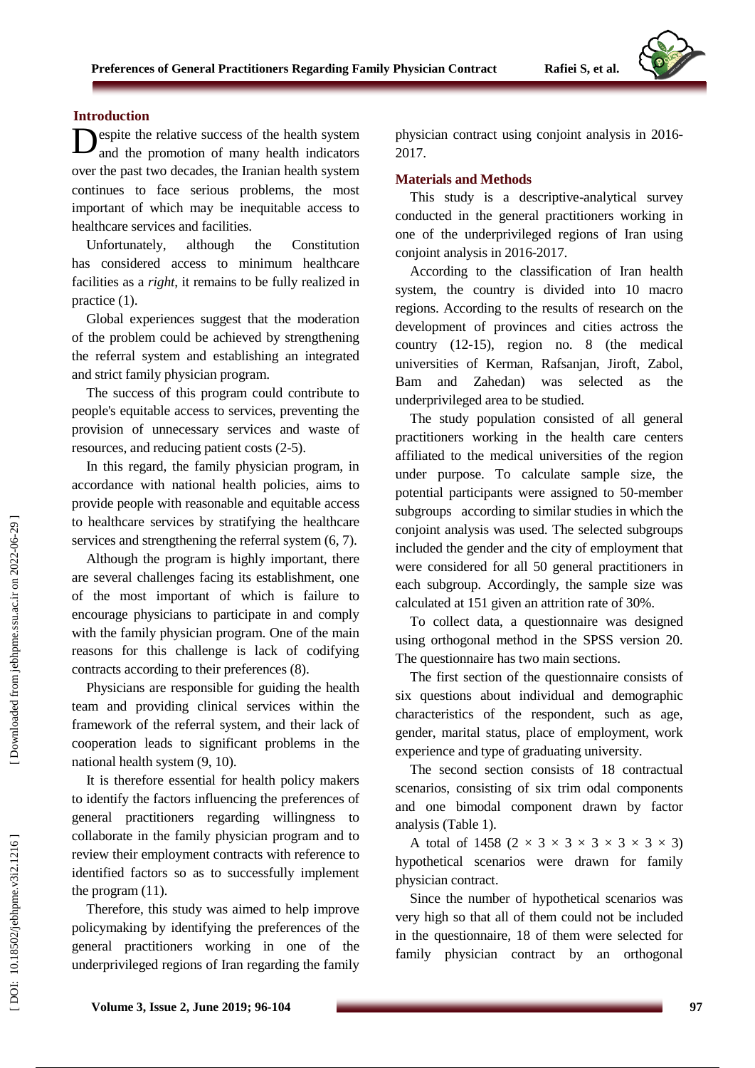## **Introduction**

**D**espite the relative success of the health system<br>and the promotion of many health indicators and the promotion of many health indicators over the past two decades, the Iranian health system continues to face serious problems, the most important of which may be inequitable access to healthcare services and facilities.

Unfortunately, although the Constitution has considered access to minimum healthcare facilities as a *right*, it remains to be fully realized in practice (1).

Global experiences suggest that the moderation of the problem could be achieved by strengthening the referral system and establishing an integrated and strict family physician program.

The success of this program could contribute to people's equitable access to services, preventing the provision of unnecessary services and waste of resources, and reducing patient costs (2 -5).

In this regard, the family physician program, in accordance with national health policies, aims to provide people with reasonable and equitable access to healthcare services by stratifying the healthcare services and strengthening the referral system (6, 7).

Although the program is highly important, there are several challenges facing its establishment, one of the most important of which is failure to encourage physicians to participate in and comply with the family physician program. One of the main reasons for this challenge is lack of codifying contracts according to their preferences (8).

Physicians are responsible for guiding the health team and providing clinical services within the framework of the referral system, and their lack of cooperation leads to significant problems in the national health system (9, 10).

It is therefore essential for health policy makers to identify the factors influencing the preferences of general practitioners regarding willingness to collaborate in the family physician program and to review their employment contracts with reference to identified factors so as to successfully implement the program (11).

Therefore, this study was aimed to help improve policymaking by identifying the preferences of the general practitioners working in one of the underprivileged regions of Iran regarding the family physician contract using conjoint analysis in 201 6 - 201 7 .

## **Materials and Methods**

This study is a descriptive -analytical survey conducted in the general practitioners working in one of the underprivileged regions of Iran using conjoint analysis in 2016-2017.

According to the classification of Iran health system, the country is divided into 10 macro regions. According to the results of research on the development of provinces and cities actross the country (12 -15), region no. 8 (the medical universities of Kerman, Rafsanjan, Jiroft, Zabol, Bam and Zahedan) was selected as the underprivileged area to be studied.

The study population consisted of all general practitioners working in the health care centers affiliated to the medical universities of the region under purpose. To calculate sample size, the potential participants were assigned to 50 -member subgroups according to similar studies in which the conjoint analysis was used. The selected subgroups included the gender and the city of employment that were considered for all 50 general practitioners in each subgroup. Accordingly, the sample size was calculated at 151 given an attrition rate of 30%.

To collect data, a questionnaire was designed using orthogonal method in the SPSS version 20. The questionnaire has two main sections.

The first section of the questionnaire consists of six questions about individual and demographic characteristics of the respondent, such as age, gender, marital status, place of employment, work experience and type of graduating university.

The second section consists of 18 contractual scenarios, consisting of six trim odal components and one bimodal component drawn by factor analysis (Table 1).

A total of 1458  $(2 \times 3 \times 3 \times 3 \times 3 \times 3)$ hypothetical scenarios were drawn for family physician contract.

Since the number of hypothetical scenarios was very high so that all of them could not be included in the questionnaire, 18 of them were selected for family physician contract by an orthogonal

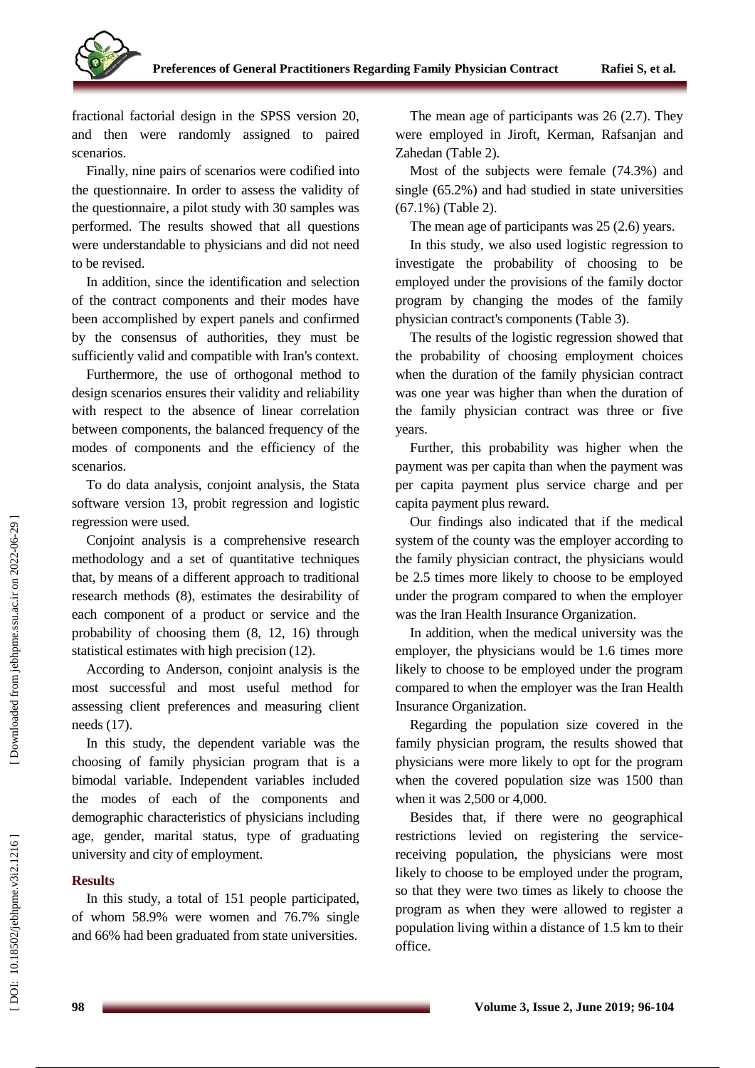

fractional factorial design in the SPSS version 20, and then were randomly assigned to paired scenarios.

Finally, nine pairs of scenarios were codified into the questionnaire. In order to assess the validity of the questionnaire, a pilot study with 30 samples was performed. The results showed that all questions were understandable to physicians and did not need to be revised.

In addition, since the identification and selection of the contract components and their modes have been accomplished by expert panels and confirmed by the consensus of authorities, they must be sufficiently valid and compatible with Iran's context.

Furthermore, the use of orthogonal method to design scenarios ensures their validity and reliability with respect to the absence of linear correlation between components, the balanced frequency of the modes of components and the efficiency of the scenarios.

To do data analysis, conjoint analysis, the Stata software version 13, probit regression and logistic regression were used.

Conjoint analysis is a comprehensive research methodology and a set of quantitative techniques that, by means of a different approach to traditional research methods (8), estimates the desirability of each component of a product or service and the probability of choosing them (8, 12, 16) through statistical estimates with high precision (12).

According to Anderson, conjoint analysis is the most successful and most useful method for assessing client preferences and measuring client needs (17).

In this study, the dependent variable was the choosing of family physician program that is a bimodal variable. Independent variables included the modes of each of the components and demographic characteristics of physicians including age, gender, marital status, type of graduating university and city of employment.

## **Results**

In this study, a total of 151 people participated, of whom 58.9% were women and 76.7% single and 66% had been graduated from state universities.

The mean age of participants was 26 (2.7). They were employed in Jiroft, Kerman, Rafsanjan and Zahedan (Table 2).

Most of the subjects were female (74.3%) and single (65.2%) and had studied in state universities (67.1%) (Table 2).

The mean age of participants was 25 (2.6) years.

In this study, we also used logistic regression to investigate the probability of choosing to be employed under the provisions of the family doctor program by changing the modes of the family physician contract's components (Table 3).

The results of the logistic regression showed that the probability of choosing employment choices when the duration of the family physician contract was one year was higher than when the duration of the family physician contract was three or five years.

Further, this probability was higher when the payment was per capita than when the payment was per capita payment plus service charge and per capita payment plus reward.

Our findings also indicated that if the medical system of the county was the employer according to the family physician contract, the physicians would be 2.5 times more likely to choose to be employed under the program compared to when the employer was the Iran Health Insurance Organization.

In addition, when the medical university was the employer, the physicians would be 1.6 times more likely to choose to be employed under the program compared to when the employer was the Iran Health Insurance Organization.

Regarding the population size covered in the family physician program, the results showed that physicians were more likely to opt for the program when the covered population size was 1500 than when it was 2,500 or 4,000.

Besides that, if there were no geographical restrictions levied on registering the service receiving population, the physicians were most likely to choose to be employed under the program, so that they were two times as likely to choose the program as when they were allowed to register a population living within a distance of 1.5 km to their office.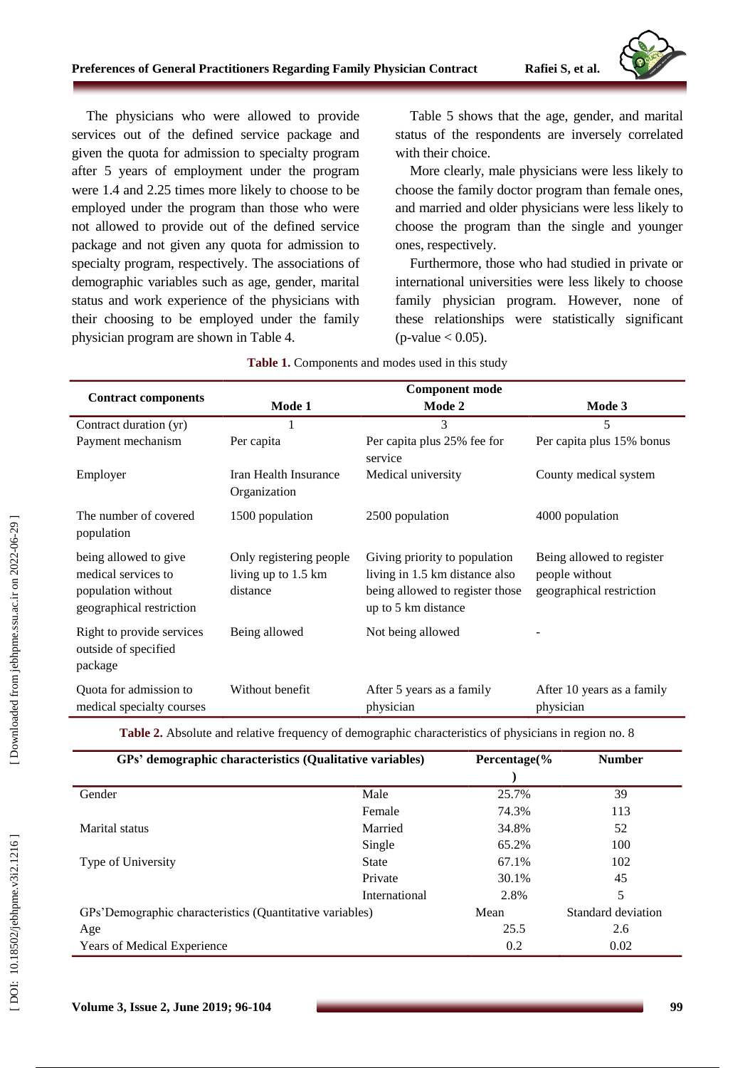

The physicians who were allowed to provide services out of the defined service package and given the quota for admission to specialty program after 5 years of employment under the program were 1.4 and 2.25 times more likely to choose to be employed under the program than those who were not allowed to provide out of the defined service packag e and not given any quota for admission to specialty program, respectively. The associations of demographic variables such as age, gender, marital status and work experience of the physicians with their choosing to be employed under the family physician program are shown in Table 4.

Table 5 shows that the age, gender, and marital status of the respondents are inversely correlated with their choice.

More clearly, male physicians were less likely to choose the family doctor program than female ones, and married and older physicians were less likely to choose the program than the single and younger ones, respectively.

Furthermore, those who had studied in private or international universities were less likely to choose family physician program. However, none of these relationships were statistically significant  $(p$ -value  $< 0.05$ ).

|                                                                                                | <b>Component mode</b>                                      |                                                                                                                           |                                                                         |  |  |
|------------------------------------------------------------------------------------------------|------------------------------------------------------------|---------------------------------------------------------------------------------------------------------------------------|-------------------------------------------------------------------------|--|--|
| <b>Contract components</b>                                                                     | Mode 1<br>Mode 2                                           |                                                                                                                           | Mode 3                                                                  |  |  |
| Contract duration (yr)                                                                         | 1                                                          | 3                                                                                                                         | 5                                                                       |  |  |
| Payment mechanism                                                                              | Per capita                                                 | Per capita plus 25% fee for<br>service                                                                                    | Per capita plus 15% bonus                                               |  |  |
| Employer                                                                                       | Iran Health Insurance<br>Organization                      | Medical university                                                                                                        | County medical system                                                   |  |  |
| The number of covered<br>population                                                            | 1500 population                                            | 2500 population                                                                                                           | 4000 population                                                         |  |  |
| being allowed to give<br>medical services to<br>population without<br>geographical restriction | Only registering people<br>living up to 1.5 km<br>distance | Giving priority to population<br>living in 1.5 km distance also<br>being allowed to register those<br>up to 5 km distance | Being allowed to register<br>people without<br>geographical restriction |  |  |
| Right to provide services<br>outside of specified<br>package                                   | Being allowed                                              | Not being allowed                                                                                                         |                                                                         |  |  |
| Quota for admission to<br>medical specialty courses                                            | Without benefit                                            | After 5 years as a family<br>physician                                                                                    | After 10 years as a family<br>physician                                 |  |  |

| Table 1. Components and modes used in this study |  |  |  |  |  |
|--------------------------------------------------|--|--|--|--|--|
|--------------------------------------------------|--|--|--|--|--|

Table 2. Absolute and relative frequency of demographic characteristics of physicians in region no. 8

| GPs' demographic characteristics (Qualitative variables) |               | Percentage(% | <b>Number</b>      |  |
|----------------------------------------------------------|---------------|--------------|--------------------|--|
| Gender                                                   | Male          | 25.7%        | 39                 |  |
|                                                          | Female        | 74.3%        | 113                |  |
| Marital status                                           | Married       | 34.8%        | 52                 |  |
|                                                          | Single        | 65.2%        | 100                |  |
| Type of University                                       | State         | 67.1%        | 102                |  |
|                                                          | Private       | 30.1%        | 45                 |  |
|                                                          | International | 2.8%         | 5                  |  |
| GPs'Demographic characteristics (Quantitative variables) |               | Mean         | Standard deviation |  |
| Age                                                      |               | 25.5         | 2.6                |  |
| Years of Medical Experience                              |               | 0.2          | 0.02               |  |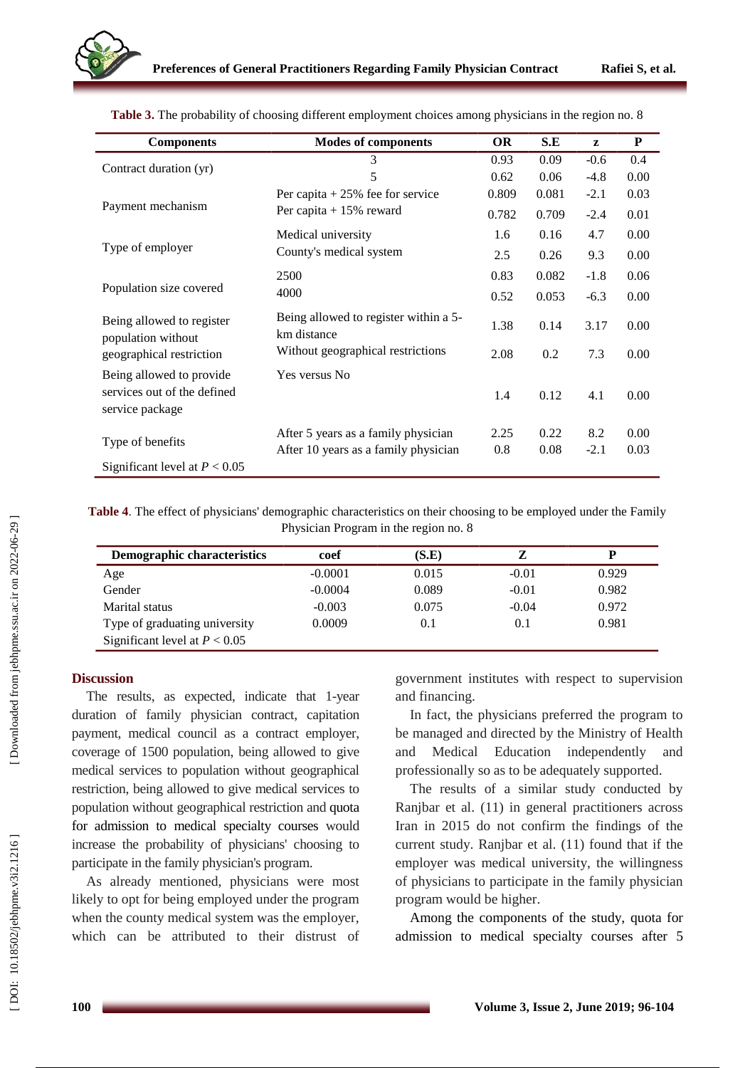| <b>Components</b>                               | <b>Modes of components</b>                           | <b>OR</b> | S.E   | z      | $\mathbf P$ |
|-------------------------------------------------|------------------------------------------------------|-----------|-------|--------|-------------|
|                                                 | 3                                                    | 0.93      | 0.09  | $-0.6$ | 0.4         |
| Contract duration (yr)                          | 5                                                    | 0.62      | 0.06  | $-4.8$ | 0.00        |
|                                                 | Per capita $+25%$ fee for service                    | 0.809     | 0.081 | $-2.1$ | 0.03        |
| Payment mechanism                               | Per capita $+15%$ reward                             | 0.782     | 0.709 | $-2.4$ | 0.01        |
|                                                 | Medical university                                   | 1.6       | 0.16  | 4.7    | 0.00        |
| Type of employer                                | County's medical system                              | 2.5       | 0.26  | 9.3    | 0.00        |
|                                                 | 2500                                                 | 0.83      | 0.082 | $-1.8$ | 0.06        |
| Population size covered                         | 4000                                                 | 0.52      | 0.053 | $-6.3$ | 0.00        |
| Being allowed to register<br>population without | Being allowed to register within a 5-<br>km distance | 1.38      | 0.14  | 3.17   | 0.00        |
| geographical restriction                        | Without geographical restrictions                    | 2.08      | 0.2   | 7.3    | 0.00        |
| Being allowed to provide                        | Yes versus No                                        |           |       |        |             |
| services out of the defined<br>service package  |                                                      | 1.4       | 0.12  | 4.1    | 0.00        |
|                                                 | After 5 years as a family physician                  | 2.25      | 0.22  | 8.2    | 0.00        |
| Type of benefits                                | After 10 years as a family physician                 | 0.8       | 0.08  | $-2.1$ | 0.03        |
| Significant level at $P < 0.05$                 |                                                      |           |       |        |             |

**Table 3.** The probability of choosing different employment choices among physicians in the region no. 8

Table 4. The effect of physicians' demographic characteristics on their choosing to be employed under the Family Physician Program in the region no. 8

| Demographic characteristics     | coef      | (S.E) |         | D     |
|---------------------------------|-----------|-------|---------|-------|
| Age                             | $-0.0001$ | 0.015 | $-0.01$ | 0.929 |
| Gender                          | $-0.0004$ | 0.089 | $-0.01$ | 0.982 |
| Marital status                  | $-0.003$  | 0.075 | $-0.04$ | 0.972 |
| Type of graduating university   | 0.0009    | 0.1   | 0.1     | 0.981 |
| Significant level at $P < 0.05$ |           |       |         |       |

### **Discussion**

The results, as expected, indicate that 1-year duration of family physician contract, capitation payment, medical council as a contract employer, coverage of 1500 population, being allowed to give medical services to population without geographical restriction, being allowed to give medical services to population without geographical restriction and quota for admission to medical specialty courses would increase the probability of physicians' choosing to participate in the family physician's program.

As already mentioned, physicians were most likely to opt for being employed under the program when the county medical system was the employer, which can be attributed to their distrust of

government institutes with respect to supervision and financing.

In fact, the physicians preferred the program to be managed and directed by the Ministry of Health and Medical Education independently and professionally so as to be adequately supported.

The results of a similar study conducted by Ranjbar et al. (11) in general practitioners across Iran in 2015 do not confirm the findings of the current study. Ranjbar et al. (11) found that if the employer was medical university, the willingness of physicians to participate in the family physician program would be higher.

Among the components of the study, quota for admission to medical specialty courses after 5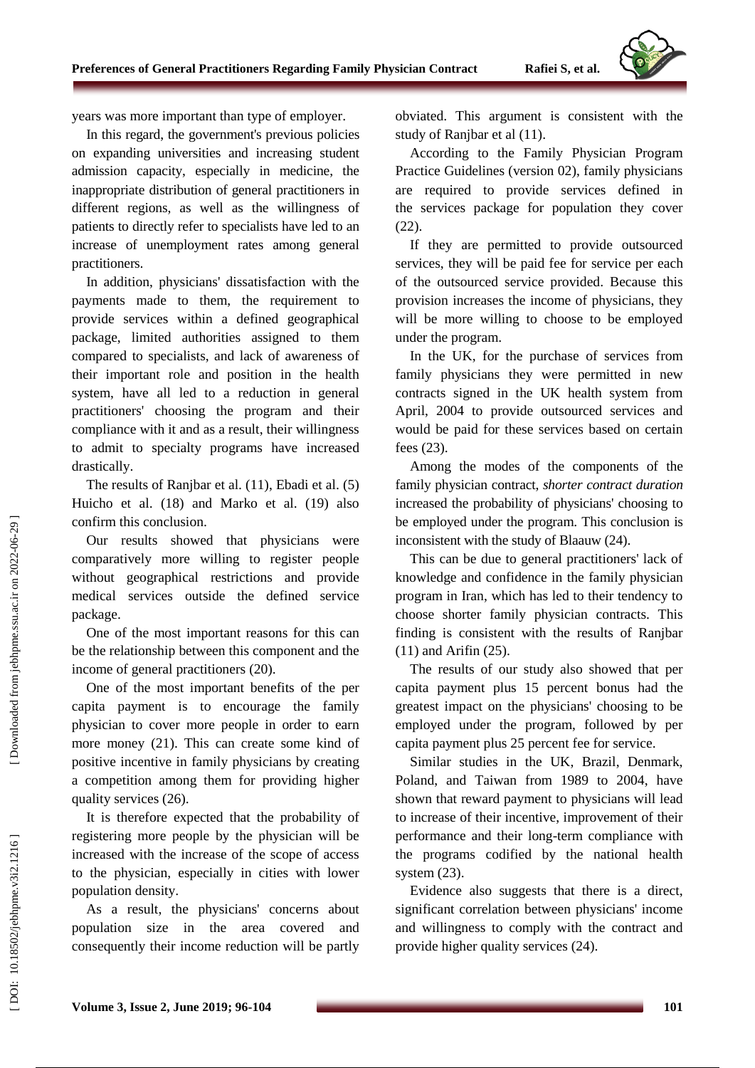

years was more important than type of employer.

In this regard, the government's previous policies on expanding universities and increasing student admission capacity, especially in medicine, the inappropriate distribution of general practitioners in different regions, as well as the willingness of patients to directly refer to specialists have led to an increase of unemployment rates among general practitioners.

In addition, physicians' dissatisfaction with the payments made to them, the requirement to provide services within a defined geographical package, limited authorities assigned to them compared to specialists, and lack of awareness of their important role and position in the health system, have all led to a reduction in general practitioners' choosing the program and their compliance with it and as a result, their willingness to admit to specialty programs have increased drastically.

The results of Ranjbar et al. (11), Ebadi et al. (5) Huicho et al. (18) and Marko et al. (19) also confirm this conclusion.

Our results showed that physicians were comparatively more willing to register people without geographical restrictions and provide medical services outside the defined service package .

One of the most important reasons for this can be the relationship between this component and the income of general practitioners (20) .

One of the most important benefits of the per capita payment is to encourage the family physician to cover more people in order to earn more money (21). This can create some kind of positive incentive in family physicians by creating a competition among them for providing higher quality services (26).

It is therefore expected that the probability of registering more people by the physician will be increased with the increase of the scope of access to the physician, especially in cities with lower population density.

As a result, the physicians' concerns about population size in the area covered and consequently their income reduction will be partly obviated. This argument is consistent with the study of Ranjbar et al (11) .

According to the Family Physician Program Practice Guidelines (version 02), family physicians are required to provide services defined in the services package for population they cover (22).

If they are permitted to provide outsourced services, they will be paid fee for service per each of the outsourced service provided. Because this provision increases the income of physicians, they will be more willing to choose to be employed under the program.

In the UK, for the purchase of services from family physicians they were permitted in new contracts signed in the UK health system from April, 2004 to provide outsourced services and would be paid for these services based on certain fees (23).

Among the modes of the components of the family physician contract, *shorter contract duration* increased the probability of physicians' choosing to be employed under the program. This conclusion is inconsistent with the study of Blaauw (24).

This can be due to general practitioners' lack of knowledge and confidence in the family physician program in Iran, which has led to their tendency to choose shorter family physician contracts. This finding is consistent with the results of Ranjbar (11) and Arifin (25).

The results of our study also showed that per capita payment plus 15 percent bonus had the greatest impact on the physicians' choosing to be employed under the program, followed by per capita payment plus 25 percent fee for service.

Similar studies in the UK, Brazil, Denmark, Poland, and Taiwan from 1989 to 2004, have shown that reward payment to physicians will lead to increase of their incentive, improvement of their performance and their long -term compliance with the programs codified by the national health system  $(23)$ .

Evidence also suggests that there is a direct, significant correlation between physicians' income and willingness to comply with the contract and provide higher quality services (24).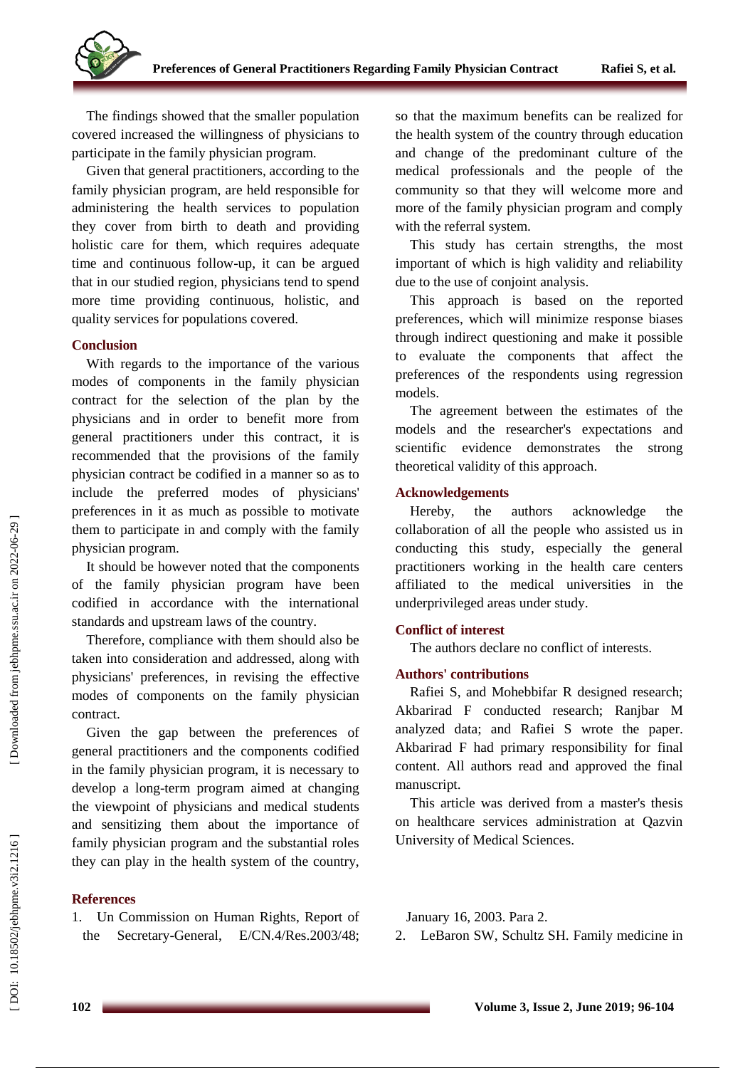The findings showed that the smaller population covered increased the willingness of physicians to participate in the family physician program.

Given that general practitioners, according to the family physician program, are held responsible for administering the health services to population they cover from birth to death and providing holistic care for them, which requires adequate time and continuous follow -up, it can be argued that in our studied region, physicians tend to spend more time providing continuous, holistic, and quality services for populations covered.

## **Conclusion**

With regards to the importance of the various modes of components in the family physician contract for the selection of the plan by the physicians and in order to benefit more from general practitioners under this contract, it is recommended that the provisions of the family physician contract be codified in a manner so as to include the preferred modes of physicians' preferences in it as much as possible to motivate them to participate in and comply with the family physician program.

It should be however noted that the components of the family physician program have been codified in accordance with the international standards and upstream laws of the country.

Therefore, compliance with them should also be taken into consideration and addressed, along with physicians' preferences, in revising the effective modes of components on the family physician contract.

Given the gap between the preferences of general practitioners and the components codified in the family physician program, it is necessary to develop a long -term program aimed at changing the viewpoint of physicians and medical students and sensitizing them about the importance of family physician program and the substantial roles they can play in the health system of the country,

## **References**

1. Un Commission on Human Rights, Report of the Secretary -General, E/CN.4/Res.2003/48; so that the maximum benefits can be realized for the health system of the country through education and change of the predominant culture of the medical professionals and the people of the community so that they will welcome more and more of the family physician program and comply with the referral system.

This study has certain strengths, the most important of which is high validity and reliability due to the use of conjoint analysis.

This approach is based on the reported preferences, which will minimize response biases through indirect questioning and make it possible to evaluate the components that affect the preferences of the respondents using regression models.

The agreement between the estimates of the models and the researcher's expectations and scientific evidence demonstrates the strong theoretical validity of this approach.

## **Acknowledgements**

Hereby, the authors acknowledge the collaboration of all the people who assisted us in conducting this study, especially the general practitioners working in the health care centers affiliated to the medical universities in the underprivileged areas under study.

## **Conflict of interest**

The authors declare no conflict of interests.

## **Authors' contributions**

Rafiei S, and Mohebbifar R designed research; Akbarirad F conducted research; Ranjbar M analyzed data; and Rafiei S wrote the paper. Akbarirad F had primary responsibility for final content. All authors read and approved the final manuscript.

This article was derived from a master's thesis on healthcare services administration at Qazvin University of Medical Sciences.

January 16, 2003. Para 2.

2. LeBaron SW, Schultz SH. Family medicine in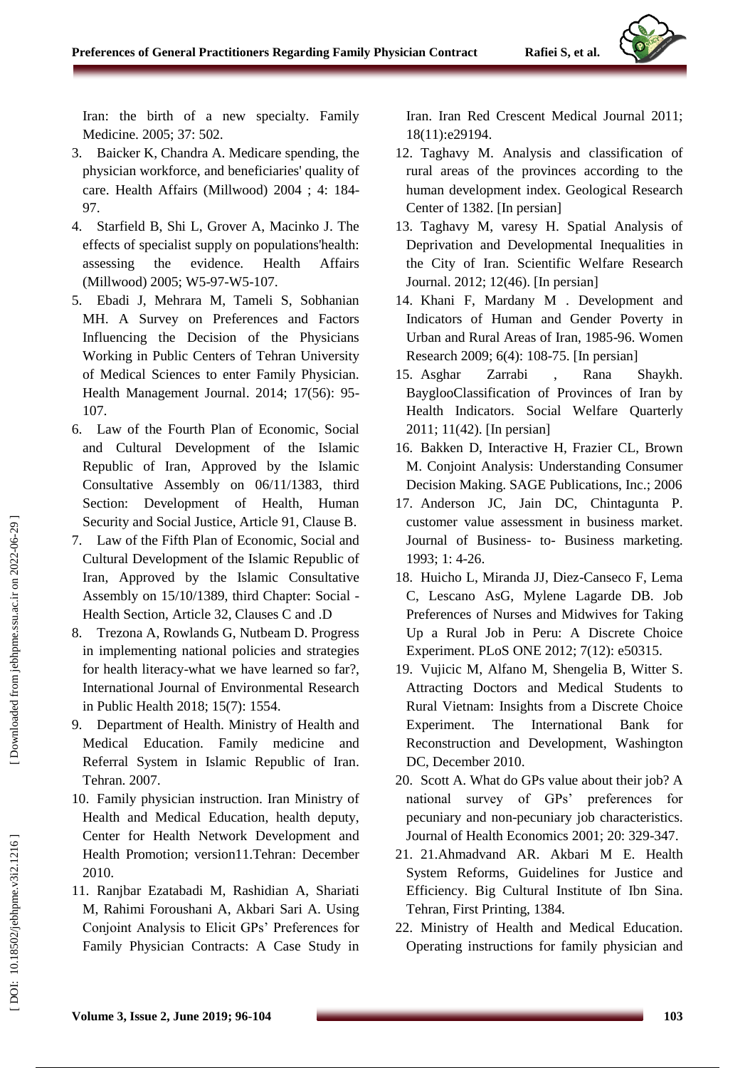Iran: the birth of a new specialty. Family Medicine. 2005; 37: 502.

- 3. Baicker K, Chandra A. Medicare spending, the physician workforce, and beneficiaries' quality of care. Health Affairs (Millwood) 2004 ; 4: 184 - 97.
- 4. Starfield B, Shi L, Grover A, Macinko J. The effects of specialist supply on populations'health: assessing the evidence. Health Affairs (Millwood) 2005; W5-97-W5-107.
- 5. Ebadi J, Mehrara M, Tameli S, Sobhanian MH. A Survey on Preferences and Factors Influencing the Decision of the Physicians Working in Public Centers of Tehran University of Medical Sciences to enter Family Physician. Health Management Journal. 2014; 17(56): 95 - 107.
- 6. Law of the Fourth Plan of Economic, Social and Cultural Development of the Islamic Republic of Iran, Approved by the Islamic Consultative Assembly on 06/11/1383, third Section: Development of Health, Human Security and Social Justice, Article 91, Clause B.
- 7. Law of the Fifth Plan of Economic, Social and Cultural Development of the Islamic Republic of Iran, Approved by the Islamic Consultative Assembly on 15/10/1389, third Chapter: Social - Health Section, Article 32, Clauses C and .D
- 8. Trezona A, Rowlands G, Nutbeam D. Progress in implementing national policies and strategies for health literacy -what we have learned so far?, International Journal of Environmental Research in Public Health 2018; 15(7): 1554.
- 9. Department of Health. Ministry of Health and Medical Education. Family medicine and Referral System in Islamic Republic of Iran. Tehran. 2007.
- 10. Family physician instruction. Iran Ministry of Health and Medical Education, health deputy, Center for Health Network Development and Health Promotion; version11.Tehran: December 2010.
- 11. Ranjbar Ezatabadi M, Rashidian A, Shariati M, Rahimi Foroushani A, Akbari Sari A. Using Conjoint Analysis to Elicit GPs' Preferences for Family Physician Contracts: A Case Study in

Iran. Iran Red Crescent Medical Journal 2011; 18(11):e29194.

- 12. Taghavy M. Analysis and classification of rural areas of the provinces according to the human development index. Geological Research Center of 1382. [In persian]
- 13. Taghavy M, varesy H. Spatial Analysis of Deprivation and Developmental Inequalities in the City of Iran. Scientific Welfare Research Journal . 2012; 12(46). [In persian]
- 14. Khani F, Mardany M . Development and Indicators of Human and Gender Poverty in Urban and Rural Areas of Iran, 1985 -96. Women Research 2009; 6(4): 108 -75. [In persian]
- 15. Asghar Zarrabi , Rana Shaykh. BayglooClassification of Provinces of Iran by Health Indicators. Social Welfare Quarterly 2011; 11(42). [In persian]
- 16. Bakken D, Interactive H, Frazier CL, Brown M. Conjoint Analysis: Understanding Consumer Decision Making. SAGE Publications, Inc.; 2006
- 17. Anderson JC, Jain DC, Chintagunta P. customer value assessment in business market. Journal of Business- to- Business marketing. 1993; 1: 4 -26.
- 18. Huicho L, Miranda JJ, Diez -Canseco F, Lema C, Lescano AsG, Mylene Lagarde DB. Job Preferences of Nurses and Midwives for Taking Up a Rural Job in Peru: A Discrete Choice Experiment. PLoS ONE 2012; 7(12): e50315.
- 19. Vujicic M, Alfano M, Shengelia B, Witter S. Attracting Doctors and Medical Students to Rural Vietnam: Insights from a Discrete Choice Experiment. The International Bank for Reconstruction and Development, Washington DC, December 2010.
- 20. Scott A. What do GPs value about their job? A national survey of GPs' preferences for pecuniary and non -pecuniary job characteristics. Journal of Health Economics 2001; 20: 329 -347.
- 21. 21.Ahmadvand AR. Akbari M E. Health System Reforms, Guidelines for Justice and Efficiency. Big Cultural Institute of Ibn Sina. Tehran, First Printing, 1384.
- 22. Ministry of Health and Medical Education. Operating instructions for family physician and